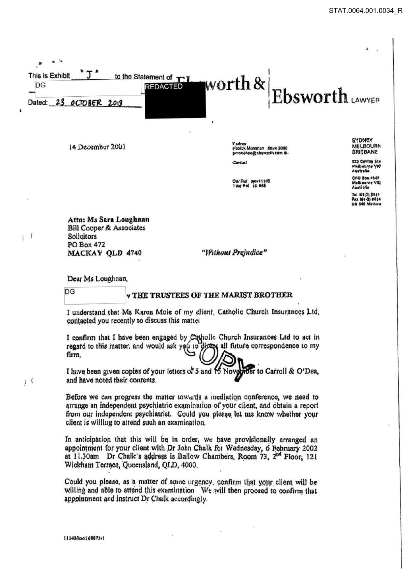

14 December 2001

l'adnu Patrick Monotian 8824 2000 Contact

CAI/Rul pyth/1110C<br>TOUTROL UR 665

**MELBOURN BRISBANE** 525 Collins Str

**SYDNEY** 

Malbourne VIC<br>Australia

OPO Box 4542 Melbourne VIQ<br>Australia

101101-018040 Pax 101-3) 8824<br>DX 640 Methou

Attn: Ms Sara Loughnan Bill Cooper & Associates Solicitors **PO Box 472 MACKAY OLD 4740** 

"Without Prejudice"

Dear Ms Loughnan,

 $DG$ 

 $\sqrt{2}$  $\mathbf{I}$ 

 $\mathbf{i}$  (

## v THE TRUSTEES OF THE MARIST BROTHER

I understand that Ms Karen Mole of my client, Catholic Church Insurances Ltd. contacted you recently to discuss this matter

I confirm that I have been engaged by Capolic Church Insurances Ltd to act in regard to this matter, and would ask you to direct all future correspondence to my firm.

I have been given copies of your letters or 5 and 15 Nove ber to Carroll & O'Dea, and have noted their contents.

Before we can progress the matter towards a mediation conference, we need to arrange an independent psychiatric examination of your client, and obtain a report from our independent psychiatrist. Could you please let me know whether your client is willing to attend such an examination.

In anticipation that this will be in order, we have provisionally arranged an appointment for your client with Dr John Chalk for Wednesday, 6 February 2002 at 11,30am Dr Chalk's address is Ballow Chambers, Room 73, 2<sup>nd</sup> Floor, 121 Wickham Terrace, Queensland, QLD, 4000.

Could you please, as a matter of some urgency, confirm that your client will be willing and able to attend this examination We will then proceed to confirm that appointment and instruct Dr Chalk accordingly.

111404120168873/1